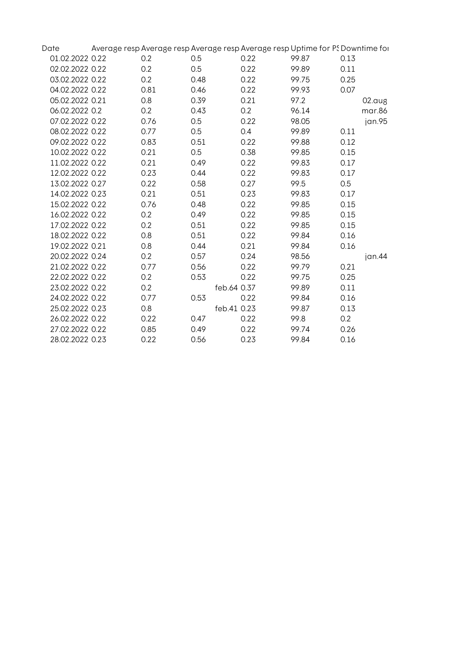| Date            | Average resp Average resp Average resp Average resp Uptime for PS Downtime for |             |      |       |      |        |
|-----------------|--------------------------------------------------------------------------------|-------------|------|-------|------|--------|
| 01.02.2022 0.22 | 0.2                                                                            | 0.5         | 0.22 | 99.87 | 0.13 |        |
| 02.02.2022 0.22 | 0.2                                                                            | 0.5         | 0.22 | 99.89 | 0.11 |        |
| 03.02.2022 0.22 | 0.2                                                                            | 0.48        | 0.22 | 99.75 | 0.25 |        |
| 04.02.2022 0.22 | 0.81                                                                           | 0.46        | 0.22 | 99.93 | 0.07 |        |
| 05.02.2022 0.21 | 0.8                                                                            | 0.39        | 0.21 | 97.2  |      | 02.aug |
| 06.02.2022 0.2  | 0.2                                                                            | 0.43        | 0.2  | 96.14 |      | mar.86 |
| 07.02.2022 0.22 | 0.76                                                                           | 0.5         | 0.22 | 98.05 |      | jan.95 |
| 08.02.2022 0.22 | 0.77                                                                           | 0.5         | 0.4  | 99.89 | 0.11 |        |
| 09.02.2022 0.22 | 0.83                                                                           | 0.51        | 0.22 | 99.88 | 0.12 |        |
| 10.02.2022 0.22 | 0.21                                                                           | 0.5         | 0.38 | 99.85 | 0.15 |        |
| 11.02.2022 0.22 | 0.21                                                                           | 0.49        | 0.22 | 99.83 | 0.17 |        |
| 12.02.2022 0.22 | 0.23                                                                           | 0.44        | 0.22 | 99.83 | 0.17 |        |
| 13.02.2022 0.27 | 0.22                                                                           | 0.58        | 0.27 | 99.5  | 0.5  |        |
| 14.02.2022 0.23 | 0.21                                                                           | 0.51        | 0.23 | 99.83 | 0.17 |        |
| 15.02.2022 0.22 | 0.76                                                                           | 0.48        | 0.22 | 99.85 | 0.15 |        |
| 16.02.2022 0.22 | 0.2                                                                            | 0.49        | 0.22 | 99.85 | 0.15 |        |
| 17.02.2022 0.22 | 0.2                                                                            | 0.51        | 0.22 | 99.85 | 0.15 |        |
| 18.02.2022 0.22 | 0.8                                                                            | 0.51        | 0.22 | 99.84 | 0.16 |        |
| 19.02.2022 0.21 | 0.8                                                                            | 0.44        | 0.21 | 99.84 | 0.16 |        |
| 20.02.2022 0.24 | 0.2                                                                            | 0.57        | 0.24 | 98.56 |      | jan.44 |
| 21.02.2022 0.22 | 0.77                                                                           | 0.56        | 0.22 | 99.79 | 0.21 |        |
| 22.02.2022 0.22 | 0.2                                                                            | 0.53        | 0.22 | 99.75 | 0.25 |        |
| 23.02.2022 0.22 | 0.2                                                                            | feb.64 0.37 |      | 99.89 | 0.11 |        |
| 24.02.2022 0.22 | 0.77                                                                           | 0.53        | 0.22 | 99.84 | 0.16 |        |
| 25.02.2022 0.23 | 0.8                                                                            | feb.41 0.23 |      | 99.87 | 0.13 |        |
| 26.02.2022 0.22 | 0.22                                                                           | 0.47        | 0.22 | 99.8  | 0.2  |        |
| 27.02.2022 0.22 | 0.85                                                                           | 0.49        | 0.22 | 99.74 | 0.26 |        |
| 28.02.2022 0.23 | 0.22                                                                           | 0.56        | 0.23 | 99.84 | 0.16 |        |